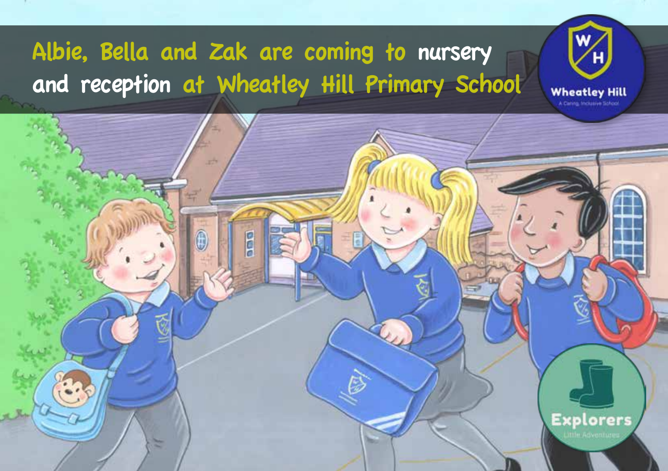# Albie, Bella and Zak are coming to nursery and reception at Wheatley Hill Primary School

pop

Æ



**Explorers**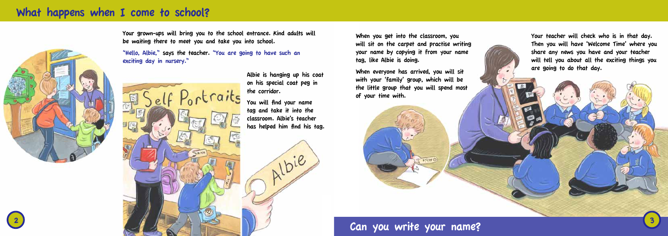Your grown-ups will bring you to the school entrance. Kind adults will be waiting there to meet you and take you into school.

"Hello, Albie," says the teacher. "You are going to have such an exciting day in nursery."



## What happens when I come to school?

When you get into the classroom, you will sit on the carpet and practise writing your name by copying it from your name tag, like Albie is doing.

When everyone has arrived, you will sit with your 'family' group, which will be the little group that you will spend most of your time with.



Can you write your name?

Your teacher will check who is in that day. Then you will have 'Welcome Time' where you share any news you have and your teacher will tell you about all the exciting things you are going to do that day.



Albie is hanging up his coat on his special coat peg in the corridor.

You will find your name tag and take it into the classroom. Albie's teacher has helped him find his tag.

1bie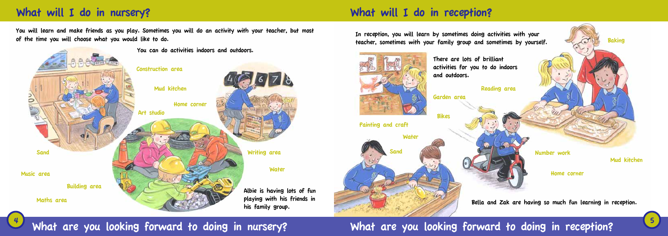# What will I do in nursery? What will I do in reception?

You will learn and make friends as you play. Sometimes you will do an activity with your teacher, but most of the time you will choose what you would like to do.





What are you looking forward to doing in nursery? What are you looking forward to doing in reception?

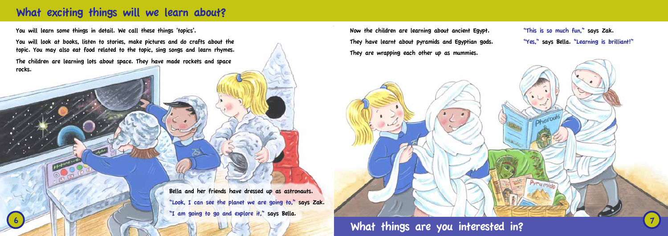## What exciting things will we learn about?

You will learn some things in detail. We call these things 'topics'.

You will look at books, listen to stories, make pictures and do crafts about the topic. You may also eat food related to the topic, sing songs and learn rhymes.

> Bella and her friends have dressed up as astronauts. "Look, I can see the planet we are going to," says Zak. "I am going to go and explore it," says Bella.

> > What things are you interested in?

The children are learning lots about space. They have made rockets and space rocks.

Now the children are learning about ancient Egypt. They have learnt about pyramids and Egyptian gods. They are wrapping each other up as mummies.

"This is so much fun," says Zak. "Yes," says Bella. "Learning is brilliant!"

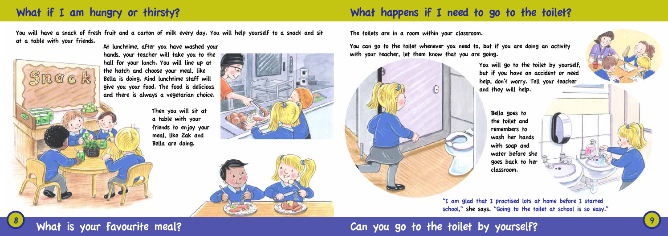## What if I am hungry or thirsty? The state of the state of the total what happens if I need to go to the toilet?

You will have a snack of fresh fruit and a carton of milk every day. You will help yourself to a snack and sit at a table with your friends.



The toilets are in a room within your classroom.

You can go to the toilet whenever you need to, but if you are doing an activity with your teacher, let them know that you are going.



At lunchtime, after you have washed your hands, your teacher will take you to the hall for your lunch. You will line up at the hatch and choose your meal, like Bella is doing. Kind lunchtime staff will give you your food. The food is delicious and there is always a vegetarian choice.

> Then you will sit at a table with your friends to enjoy your meal, like Zak and Bella are doing.



You will go to the toilet by yourself, but if you have an accident or need help, don't worry. Tell your teacher and they will help.

> Bella goes to classroom.

the toilet and remembers to wash her hands with soap and water before she goes back to her





"I am glad that I practised lots at home before I started school," she says. "Going to the toilet at school is so easy."

# What is your favourite meal? The state of the state of the toilet by yourself?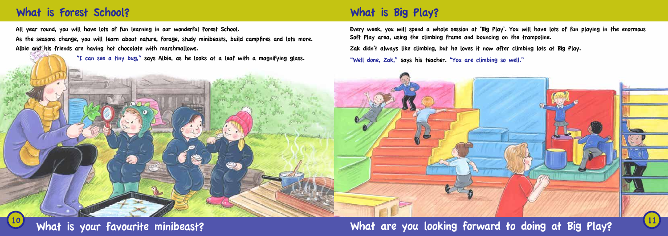## What is Forest School? What is Big Play?

All year round, you will have lots of fun learning in our wonderful Forest School.

As the seasons change, you will learn about nature, forage, study minibeasts, build campfires and lots more. Albie and his friends are having hot chocolate with marshmallows.

"I can see a tiny bug," says Albie, as he looks at a leaf with a magnifying glass.

Every week, you will spend a whole session at 'Big Play'. You will have lots of fun playing in the enormous Soft Play area, using the climbing frame and bouncing on the trampoline. Zak didn't always like climbing, but he loves it now after climbing lots at Big Play. "Well done, Zak," says his teacher. "You are climbing so well."



What are you looking forward to doing at Big Play?